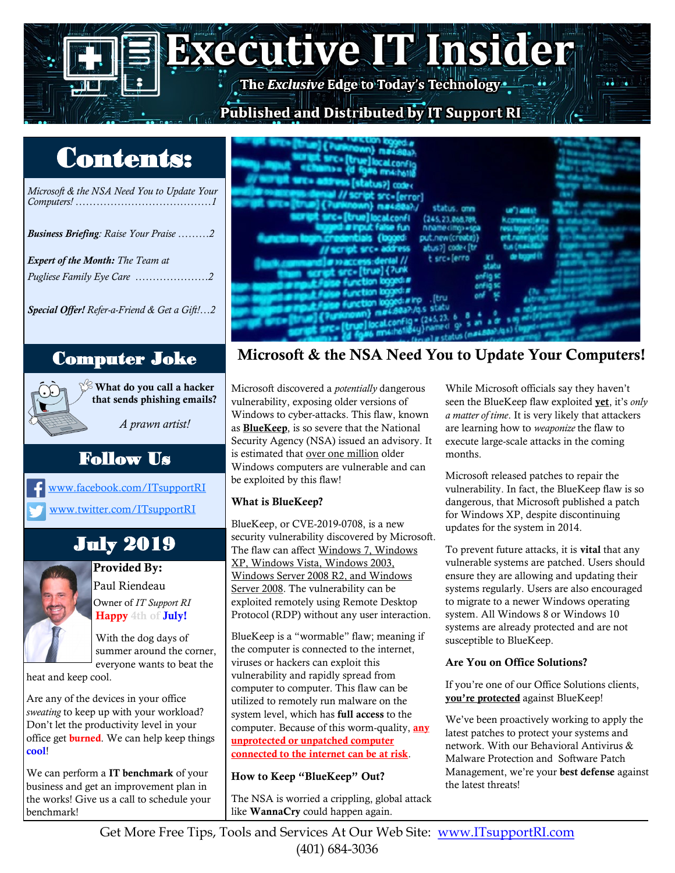# **Executive IT Insider** Published and Distributed by IT Support RI

# Contents:

*Microsoft & the NSA Need You to Update Your Computers! …………………………………1*

*Business Briefing: Raise Your Praise ………2*

*Expert of the Month: The Team at Pugliese Family Eye Care …………………2*

*Special Offer! Refer-a-Friend & Get a Gift!…2*

 $\mathbb{X}^{\!\otimes}$  What do you call a hacker that sends phishing emails?

*A prawn artist!*

### Follow Us

[www.facebook.com/ITsupportRI](https://www.facebook.com/itsupportri/) [www.twitter.com/ITsupportRI](http://www.twitter.com/ITSupportRI)

## July 2019



Provided By: Paul Riendeau Owner of *IT Support RI* Happy 4th of **July!** 

With the dog days of summer around the corner, everyone wants to beat the

heat and keep cool.

Are any of the devices in your office *sweating* to keep up with your workload? Don't let the productivity level in your office get **burned**. We can help keep things cool!

We can perform a IT benchmark of your business and get an improvement plan in the works! Give us a call to schedule your benchmark!



### Computer Joke Microsoft & the NSA Need You to Update Your Computers!

Microsoft discovered a *potentially* dangerous vulnerability, exposing older versions of Windows to cyber-attacks. This flaw, known as **BlueKeep**, is so severe that the National Security Agency (NSA) issued an advisory. It is estimated that over one million older Windows computers are vulnerable and can be exploited by this flaw!

### What is BlueKeep?

BlueKeep, or CVE-2019-0708, is a new security vulnerability discovered by Microsoft. The flaw can affect Windows 7, Windows XP, Windows Vista, Windows 2003, Windows Server 2008 R2, and Windows Server 2008. The vulnerability can be exploited remotely using Remote Desktop Protocol (RDP) without any user interaction.

BlueKeep is a "wormable" flaw; meaning if the computer is connected to the internet, viruses or hackers can exploit this vulnerability and rapidly spread from computer to computer. This flaw can be utilized to remotely run malware on the system level, which has full access to the computer. Because of this worm-quality, any unprotected or unpatched computer connected to the internet can be at risk.

### How to Keep "BlueKeep" Out?

The NSA is worried a crippling, global attack like WannaCry could happen again.

While Microsoft officials say they haven't seen the BlueKeep flaw exploited yet, it's *only a matter of time*. It is very likely that attackers are learning how to *weaponize* the flaw to execute large-scale attacks in the coming months.

Microsoft released patches to repair the vulnerability. In fact, the BlueKeep flaw is so dangerous, that Microsoft published a patch for Windows XP, despite discontinuing updates for the system in 2014.

To prevent future attacks, it is vital that any vulnerable systems are patched. Users should ensure they are allowing and updating their systems regularly. Users are also encouraged to migrate to a newer Windows operating system. All Windows 8 or Windows 10 systems are already protected and are not susceptible to BlueKeep.

### Are You on Office Solutions?

If you're one of our Office Solutions clients, you're protected against BlueKeep!

We've been proactively working to apply the latest patches to protect your systems and network. With our Behavioral Antivirus & Malware Protection and Software Patch Management, we're your best defense against the latest threats!